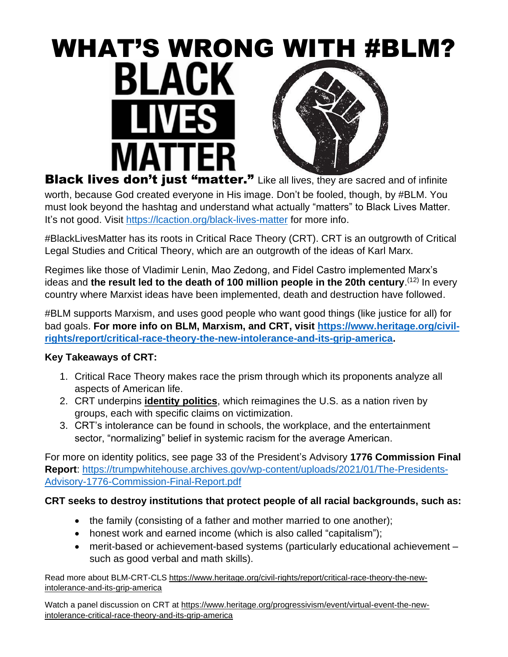# WHAT'S WRONG WITH #BLM?<br>BLACK

**Black lives don't just "matter."** Like all lives, they are sacred and of infinite worth, because God created everyone in His image. Don't be fooled, though, by #BLM. You must look beyond the hashtag and understand what actually "matters" to Black Lives Matter. It's not good. Visit<https://lcaction.org/black-lives-matter> for more info.

#BlackLivesMatter has its roots in Critical Race Theory (CRT). CRT is an outgrowth of Critical Legal Studies and Critical Theory, which are an outgrowth of the ideas of Karl Marx.

Regimes like those of Vladimir Lenin, Mao Zedong, and Fidel Castro implemented Marx's ideas and the result led to the death of 100 million people in the 20th century.<sup>(12)</sup> In every country where Marxist ideas have been implemented, death and destruction have followed.

#BLM supports Marxism, and uses good people who want good things (like justice for all) for bad goals. **For more info on BLM, Marxism, and CRT, visit [https://www.heritage.org/civil](https://www.heritage.org/civil-rights/report/critical-race-theory-the-new-intolerance-and-its-grip-america)[rights/report/critical-race-theory-the-new-intolerance-and-its-grip-america.](https://www.heritage.org/civil-rights/report/critical-race-theory-the-new-intolerance-and-its-grip-america)** 

# **Key Takeaways of CRT:**

- 1. Critical Race Theory makes race the prism through which its proponents analyze all aspects of American life.
- 2. CRT underpins **identity politics**, which reimagines the U.S. as a nation riven by groups, each with specific claims on victimization.
- 3. CRT's intolerance can be found in schools, the workplace, and the entertainment sector, "normalizing" belief in systemic racism for the average American.

For more on identity politics, see page 33 of the President's Advisory **1776 Commission Final Report**: [https://trumpwhitehouse.archives.gov/wp-content/uploads/2021/01/The-Presidents-](https://trumpwhitehouse.archives.gov/wp-content/uploads/2021/01/The-Presidents-Advisory-1776-Commission-Final-Report.pdf)[Advisory-1776-Commission-Final-Report.pdf](https://trumpwhitehouse.archives.gov/wp-content/uploads/2021/01/The-Presidents-Advisory-1776-Commission-Final-Report.pdf)

# **CRT seeks to destroy institutions that protect people of all racial backgrounds, such as:**

- the family (consisting of a father and mother married to one another);
- honest work and earned income (which is also called "capitalism");
- merit-based or achievement-based systems (particularly educational achievement such as good verbal and math skills).

Read more about BLM-CRT-CLS [https://www.heritage.org/civil-rights/report/critical-race-theory-the-new](https://www.heritage.org/civil-rights/report/critical-race-theory-the-new-intolerance-and-its-grip-america)[intolerance-and-its-grip-america](https://www.heritage.org/civil-rights/report/critical-race-theory-the-new-intolerance-and-its-grip-america)

Watch a panel discussion on CRT at [https://www.heritage.org/progressivism/event/virtual-event-the-new](https://www.heritage.org/progressivism/event/virtual-event-the-new-intolerance-critical-race-theory-and-its-grip-america)[intolerance-critical-race-theory-and-its-grip-america](https://www.heritage.org/progressivism/event/virtual-event-the-new-intolerance-critical-race-theory-and-its-grip-america)